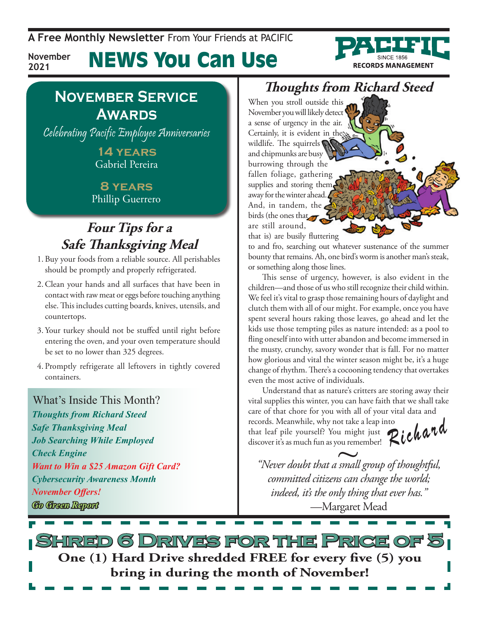**A Free Monthly Newsletter** From Your Friends at Pacific

### News You Can Use **November**



**2021**

Celebrating Pacific Employee Anniversaries

**14 years** Gabriel Pereira

**8 years** Phillip Guerrero

## **Four Tips for a Safe Thanksgiving Meal**

- 1. Buy your foods from a reliable source. All perishables should be promptly and properly refrigerated.
- 2.Clean your hands and all surfaces that have been in contact with raw meat or eggs before touching anything else. This includes cutting boards, knives, utensils, and countertops.
- 3. Your turkey should not be stuffed until right before entering the oven, and your oven temperature should be set to no lower than 325 degrees.
- 4. Promptly refrigerate all leftovers in tightly covered containers.

### What's Inside This Month?

*Thoughts from Richard Steed Safe Thanksgiving Meal Job Searching While Employed Check Engine Want to Win a \$25 Amazon Gift Card? Cybersecurity Awareness Month November Offers! Go Green Report*

## **Thoughts from Richard Steed**

**RECORDS MANAGEMENT** 

When you stroll outside this November you will likely detect a sense of urgency in the air. Certainly, it is evident in the wildlife. The squirrels  $\bigcirc$ and chipmunks are busy burrowing through the fallen foliage, gathering supplies and storing them away for the winter ahead And, in tandem, the birds (the ones that are still around, that is) are busily fluttering

to and fro, searching out whatever sustenance of the summer bounty that remains. Ah, one bird's worm is another man's steak, or something along those lines.

This sense of urgency, however, is also evident in the children—and those of us who still recognize their child within. We feel it's vital to grasp those remaining hours of daylight and clutch them with all of our might. For example, once you have spent several hours raking those leaves, go ahead and let the kids use those tempting piles as nature intended: as a pool to fling oneself into with utter abandon and become immersed in the musty, crunchy, savory wonder that is fall. For no matter how glorious and vital the winter season might be, it's a huge change of rhythm. There's a cocooning tendency that overtakes even the most active of individuals.

Understand that as nature's critters are storing away their vital supplies this winter, you can have faith that we shall take care of that chore for you with all of your vital data and records. Meanwhile, why not take a leap into

that leaf pile yourself? You might just discover it's as much fun as you remember!

Richard

*"Never doubt that a small group of thoughtful, committed citizens can change the world; indeed, it's the only thing that ever has."* —Margaret Mead ou rem

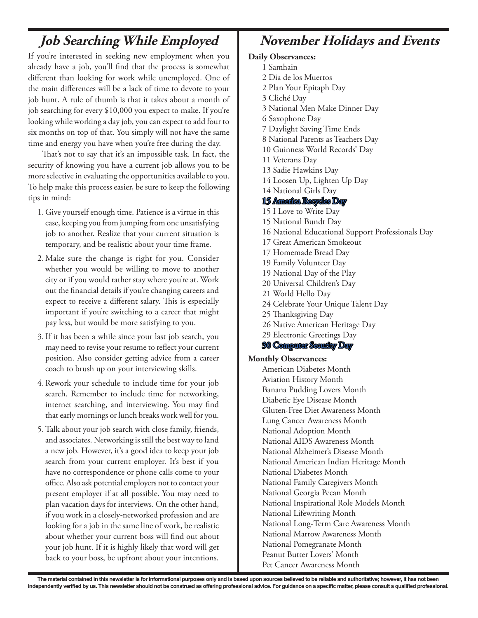## **Job Searching While Employed**

If you're interested in seeking new employment when you already have a job, you'll find that the process is somewhat different than looking for work while unemployed. One of the main differences will be a lack of time to devote to your job hunt. A rule of thumb is that it takes about a month of job searching for every \$10,000 you expect to make. If you're looking while working a day job, you can expect to add four to six months on top of that. You simply will not have the same time and energy you have when you're free during the day.

That's not to say that it's an impossible task. In fact, the security of knowing you have a current job allows you to be more selective in evaluating the opportunities available to you. To help make this process easier, be sure to keep the following tips in mind:

- 1. Give yourself enough time. Patience is a virtue in this case, keeping you from jumping from one unsatisfying job to another. Realize that your current situation is temporary, and be realistic about your time frame.
- 2. Make sure the change is right for you. Consider whether you would be willing to move to another city or if you would rather stay where you're at. Work out the financial details if you're changing careers and expect to receive a different salary. This is especially important if you're switching to a career that might pay less, but would be more satisfying to you.
- 3.If it has been a while since your last job search, you may need to revise your resume to reflect your current position. Also consider getting advice from a career coach to brush up on your interviewing skills.
- 4.Rework your schedule to include time for your job search. Remember to include time for networking, internet searching, and interviewing. You may find that early mornings or lunch breaks work well for you.
- 5.Talk about your job search with close family, friends, and associates. Networking is still the best way to land a new job. However, it's a good idea to keep your job search from your current employer. It's best if you have no correspondence or phone calls come to your office. Also ask potential employers not to contact your present employer if at all possible. You may need to plan vacation days for interviews. On the other hand, if you work in a closely-networked profession and are looking for a job in the same line of work, be realistic about whether your current boss will find out about your job hunt. If it is highly likely that word will get back to your boss, be upfront about your intentions.

### **November Holidays and Events**

### **Daily Observances:**

- 1 Samhain
- 2 Dia de los Muertos
- 2 Plan Your Epitaph Day
- 3 Cliché Day
- 3 National Men Make Dinner Day
- 6 Saxophone Day
- 7 Daylight Saving Time Ends
- 8 National Parents as Teachers Day
- 10 Guinness World Records' Day
- 11 Veterans Day
- 13 Sadie Hawkins Day
- 14 Loosen Up, Lighten Up Day
- 14 National Girls Day
- 15 America Recycles Day
- 15 I Love to Write Day
- 15 National Bundt Day
- 16 National Educational Support Professionals Day
- 17 Great American Smokeout
- 17 Homemade Bread Day
- 19 Family Volunteer Day
- 19 National Day of the Play
- 20 Universal Children's Day
- 21 World Hello Day
- 24 Celebrate Your Unique Talent Day
- 25 Thanksgiving Day
- 26 Native American Heritage Day
- 29 Electronic Greetings Day
- 30 Computer Security Day

#### **Monthly Observances:**

American Diabetes Month Aviation History Month Banana Pudding Lovers Month Diabetic Eye Disease Month Gluten-Free Diet Awareness Month Lung Cancer Awareness Month National Adoption Month National AIDS Awareness Month National Alzheimer's Disease Month National American Indian Heritage Month National Diabetes Month National Family Caregivers Month National Georgia Pecan Month National Inspirational Role Models Month National Lifewriting Month National Long-Term Care Awareness Month National Marrow Awareness Month National Pomegranate Month Peanut Butter Lovers' Month Pet Cancer Awareness Month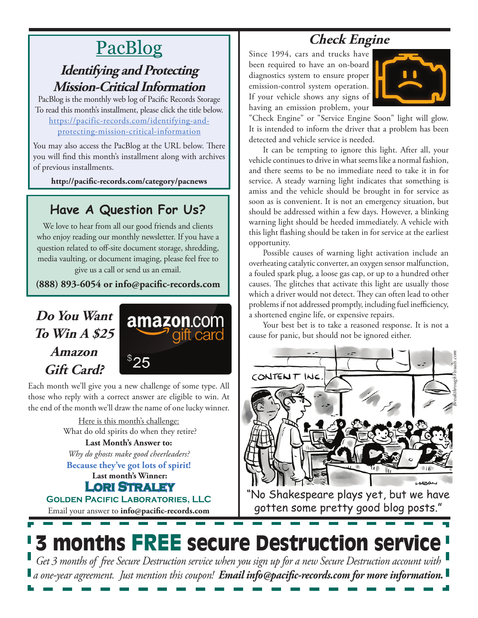# **PacBlog**

## **Identifying and Protecting Mission-Critical Information**

PacBlog is the monthly web log of Pacific Records Storage To read this month's installment, please click the title below[.](http://pacific-records.com/5-advantages-of-a-local-shredding-and-destruction-provider) [https://pacific-records.com/identifying-and](https://pacific-records.com/identifying-and-protecting-mission-critical-information)[protecting-mission-critical-information](https://pacific-records.com/identifying-and-protecting-mission-critical-information)

You may also access the PacBlog at the URL below. There you will find this month's installment along with archives of previous installments.

**http://pacific-records.com/category/pacnews**

## **Have A Question For Us?**

We love to hear from all our good friends and clients who enjoy reading our monthly newsletter. If you have a question related to off-site document storage, shredding, media vaulting, or document imaging, please feel free to give us a call or send us an email.

**(888) 893-6054 or info@pacific-records.com**

## **Do You Want To Win A \$25 Amazon Gift Card?**



Each month we'll give you a new challenge of some type. All those who reply with a correct answer are eligible to win. At the end of the month we'll draw the name of one lucky winner.

> Here is this month's challenge: What do old spirits do when they retire?

**Last Month's Answer to:**  *Why do ghosts make good cheerleaders?*

**Last month's Winner: Because they've got lots of spirit!**

**Lori Straley**

Email your answer to **info@pacific-records.com Golden Pacific Laboratories, LLC**

# **Check Engine**

Since 1994, cars and trucks have been required to have an on-board diagnostics system to ensure proper emission-control system operation. If your vehicle shows any signs of having an emission problem, your



"Check Engine" or "Service Engine Soon" light will glow. It is intended to inform the driver that a problem has been detected and vehicle service is needed.

It can be tempting to ignore this light. After all, your vehicle continues to drive in what seems like a normal fashion, and there seems to be no immediate need to take it in for service. A steady warning light indicates that something is amiss and the vehicle should be brought in for service as soon as is convenient. It is not an emergency situation, but should be addressed within a few days. However, a blinking warning light should be heeded immediately. A vehicle with this light flashing should be taken in for service at the earliest opportunity.

Possible causes of warning light activation include an overheating catalytic converter, an oxygen sensor malfunction, a fouled spark plug, a loose gas cap, or up to a hundred other causes. The glitches that activate this light are usually those which a driver would not detect. They can often lead to other problems if not addressed promptly, including fuel inefficiency, a shortened engine life, or expensive repairs.

Your best bet is to take a reasoned response. It is not a cause for panic, but should not be ignored either.



"No Shakespeare plays yet, but we have gotten some pretty good blog posts."